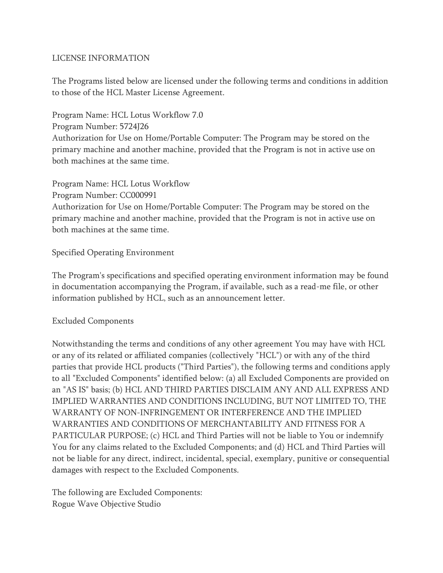## LICENSE INFORMATION

The Programs listed below are licensed under the following terms and conditions in addition to those of the HCL Master License Agreement.

Program Name: HCL Lotus Workflow 7.0 Program Number: 5724J26 Authorization for Use on Home/Portable Computer: The Program may be stored on the primary machine and another machine, provided that the Program is not in active use on both machines at the same time.

Program Name: HCL Lotus Workflow Program Number: CC000991 Authorization for Use on Home/Portable Computer: The Program may be stored on the primary machine and another machine, provided that the Program is not in active use on both machines at the same time.

## Specified Operating Environment

The Program's specifications and specified operating environment information may be found in documentation accompanying the Program, if available, such as a read-me file, or other information published by HCL, such as an announcement letter.

## Excluded Components

Notwithstanding the terms and conditions of any other agreement You may have with HCL or any of its related or affiliated companies (collectively "HCL") or with any of the third parties that provide HCL products ("Third Parties"), the following terms and conditions apply to all "Excluded Components" identified below: (a) all Excluded Components are provided on an "AS IS" basis; (b) HCL AND THIRD PARTIES DISCLAIM ANY AND ALL EXPRESS AND IMPLIED WARRANTIES AND CONDITIONS INCLUDING, BUT NOT LIMITED TO, THE WARRANTY OF NON-INFRINGEMENT OR INTERFERENCE AND THE IMPLIED WARRANTIES AND CONDITIONS OF MERCHANTABILITY AND FITNESS FOR A PARTICULAR PURPOSE; (c) HCL and Third Parties will not be liable to You or indemnify You for any claims related to the Excluded Components; and (d) HCL and Third Parties will not be liable for any direct, indirect, incidental, special, exemplary, punitive or consequential damages with respect to the Excluded Components.

The following are Excluded Components: Rogue Wave Objective Studio